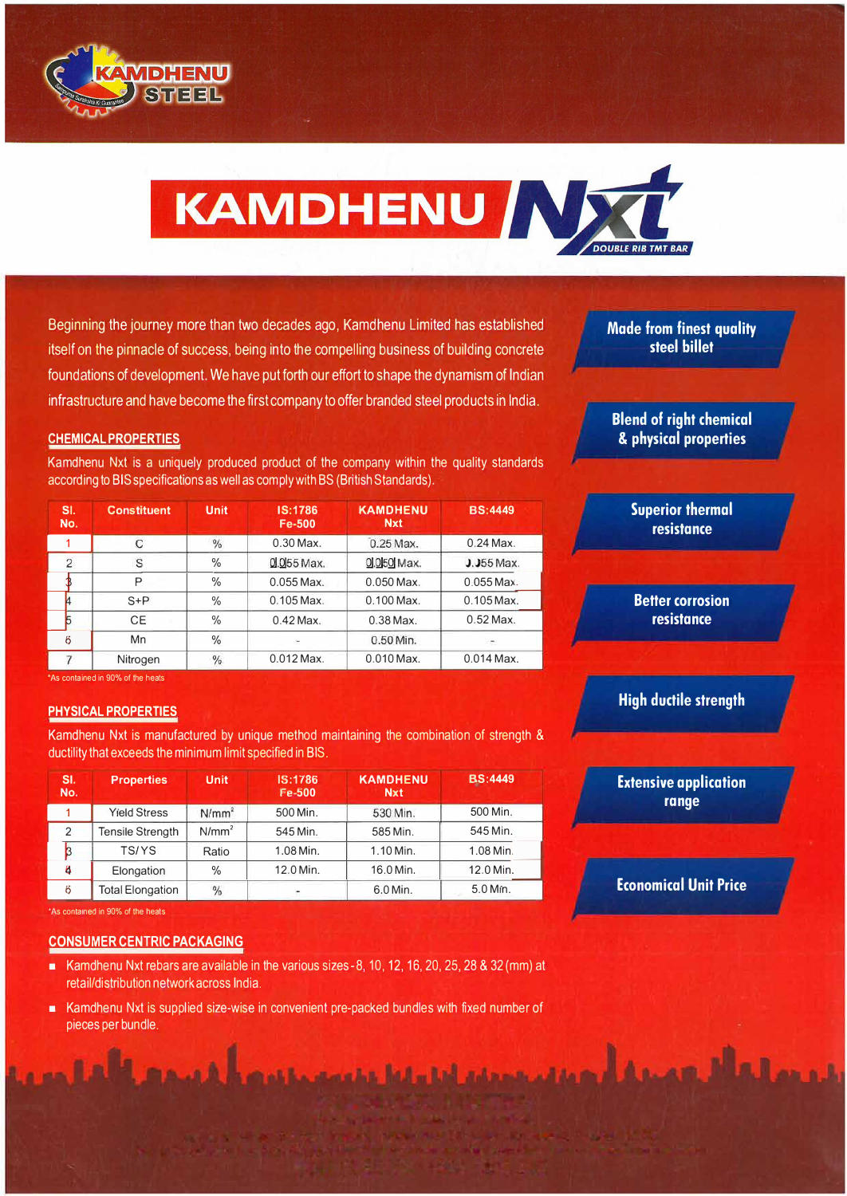



Beginning the journey more than two decades ago, Kamdhenu Limited has established itself on the pinnacle of success, being into the compelling business of building concrete foundations of development. We have put forth our effort to shape the dynamism of Indian infrastructure and have become the first company to offer branded steel products in India.

## **CHEMICAL PROPERTIES**

Kamdhenu Nxt is a uniquely produced product of the company within the quality standards

|                | according to BIS specifications as well as comply with BS (British Standards). |               |                          |                               |                |
|----------------|--------------------------------------------------------------------------------|---------------|--------------------------|-------------------------------|----------------|
| SI.<br>No.     | <b>Constituent</b>                                                             | <b>Unit</b>   | IS:1786<br><b>Fe-500</b> | <b>KAMDHENU</b><br><b>Nxt</b> | <b>BS:4449</b> |
|                | С                                                                              | %             | $0.30$ Max.              | 0.25 Max.                     | $0.24$ Max.    |
| $\overline{2}$ | S                                                                              | $\%$          | $0.055$ Max.             | 0.050 Max.                    | $0.055$ Max.   |
|                | P                                                                              | $\%$          | $0.055$ Max.             | $0.050$ Max.                  | $0.055$ Max.   |
| 4              | $S + P$                                                                        | $\%$          | $0.105$ Max              | $0.100$ Max.                  | $0.105$ Max.   |
| 5              | <b>CE</b>                                                                      | $\frac{0}{0}$ | $0.42$ Max.              | $0.38$ Max.                   | $0.52$ Max.    |
| 6              | Mn                                                                             | $\frac{0}{0}$ | ×                        | 0.50 Min.                     |                |
|                | Nitrogen                                                                       | $\%$          | $0.012$ Max.             | $0.010$ Max.                  | $0.014$ Max.   |

'As contained in 90% of the heats

## **PHYSICAL PROPERTIES**

Kamdhenu Nxt is manufactured by unique method maintaining the combination of strength &

| SI.<br>No.     | <b>Properties</b>       | <b>Unit</b>       | IS:1786<br>Fe-500 | <b>KAMDHENU</b><br><b>Nxt</b> | <b>BS:4449</b> |
|----------------|-------------------------|-------------------|-------------------|-------------------------------|----------------|
|                | <b>Yield Stress</b>     | N/mm <sup>2</sup> | 500 Min.          | 530 Min.                      | 500 Min.       |
| $\overline{2}$ | <b>Tensile Strength</b> | $N/mm^2$          | 545 Min.          | 585 Min.                      | 545 Min.       |
|                | TS/YS                   | Ratio             | 1.08 Min.         | 1.10 Min.                     | 1.08 Min.      |
| 4              | Elongation              | $\%$              | 12.0 Min.         | 16.0 Min.                     | 12.0 Min.      |
| 6              | <b>Total Elongation</b> | %                 |                   | 6.0 Min.                      | 5.0 Min.       |

## **CONSUMER CENTRIC PACKAGING**

- **EXAMPLE 10** Kamdhenu Nxt rebars are available in the various sizes 8, 10, 12, 16, 20, 25, 28 & 32 (mm) at retail/distribution network across India.
- Kamdhenu Nxt is supplied size-wise in convenient pre-packed bundles with fixed number of pieces per bundle.

a special little this intensive